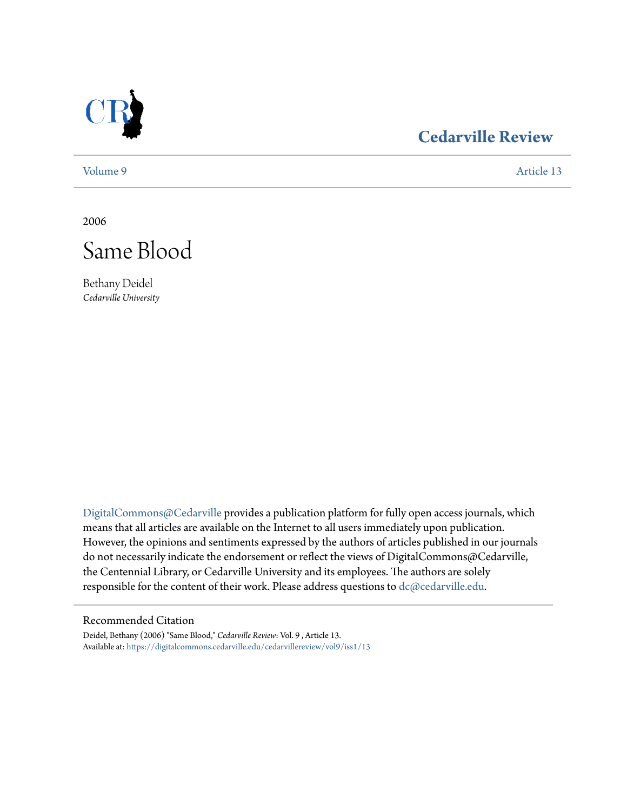

## **[Cedarville Review](https://digitalcommons.cedarville.edu/cedarvillereview?utm_source=digitalcommons.cedarville.edu%2Fcedarvillereview%2Fvol9%2Fiss1%2F13&utm_medium=PDF&utm_campaign=PDFCoverPages)**

[Volume 9](https://digitalcommons.cedarville.edu/cedarvillereview/vol9?utm_source=digitalcommons.cedarville.edu%2Fcedarvillereview%2Fvol9%2Fiss1%2F13&utm_medium=PDF&utm_campaign=PDFCoverPages) [Article 13](https://digitalcommons.cedarville.edu/cedarvillereview/vol9/iss1/13?utm_source=digitalcommons.cedarville.edu%2Fcedarvillereview%2Fvol9%2Fiss1%2F13&utm_medium=PDF&utm_campaign=PDFCoverPages)

2006



Bethany Deidel *Cedarville University*

[DigitalCommons@Cedarville](http://digitalcommons.cedarville.edu) provides a publication platform for fully open access journals, which means that all articles are available on the Internet to all users immediately upon publication. However, the opinions and sentiments expressed by the authors of articles published in our journals do not necessarily indicate the endorsement or reflect the views of DigitalCommons@Cedarville, the Centennial Library, or Cedarville University and its employees. The authors are solely responsible for the content of their work. Please address questions to [dc@cedarville.edu](mailto:dc@cedarville.edu).

## Recommended Citation

Deidel, Bethany (2006) "Same Blood," *Cedarville Review*: Vol. 9 , Article 13. Available at: [https://digitalcommons.cedarville.edu/cedarvillereview/vol9/iss1/13](https://digitalcommons.cedarville.edu/cedarvillereview/vol9/iss1/13?utm_source=digitalcommons.cedarville.edu%2Fcedarvillereview%2Fvol9%2Fiss1%2F13&utm_medium=PDF&utm_campaign=PDFCoverPages)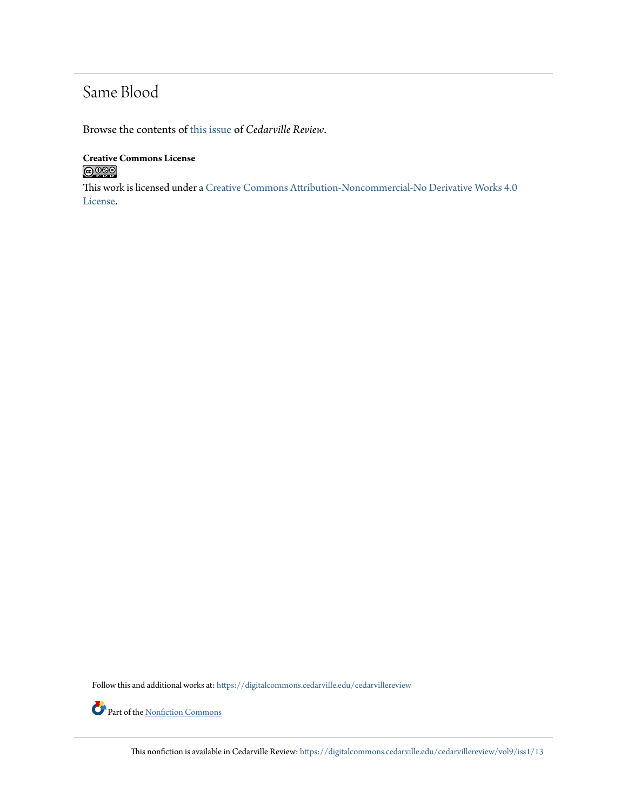## Same Blood

Browse the contents of [this issue](https://digitalcommons.cedarville.edu/cedarvillereview/vol9/iss1) of *Cedarville Review*.

**Creative Commons License**  $\bigcirc$  000

This work is licensed under a [Creative Commons Attribution-Noncommercial-No Derivative Works 4.0](http://creativecommons.org/licenses/by-nc-nd/4.0/) [License.](http://creativecommons.org/licenses/by-nc-nd/4.0/)

Follow this and additional works at: [https://digitalcommons.cedarville.edu/cedarvillereview](https://digitalcommons.cedarville.edu/cedarvillereview?utm_source=digitalcommons.cedarville.edu%2Fcedarvillereview%2Fvol9%2Fiss1%2F13&utm_medium=PDF&utm_campaign=PDFCoverPages)

Part of the <u>[Nonfiction Commons](http://network.bepress.com/hgg/discipline/1152?utm_source=digitalcommons.cedarville.edu%2Fcedarvillereview%2Fvol9%2Fiss1%2F13&utm_medium=PDF&utm_campaign=PDFCoverPages)</u>

This nonfiction is available in Cedarville Review: [https://digitalcommons.cedarville.edu/cedarvillereview/vol9/iss1/13](https://digitalcommons.cedarville.edu/cedarvillereview/vol9/iss1/13?utm_source=digitalcommons.cedarville.edu%2Fcedarvillereview%2Fvol9%2Fiss1%2F13&utm_medium=PDF&utm_campaign=PDFCoverPages)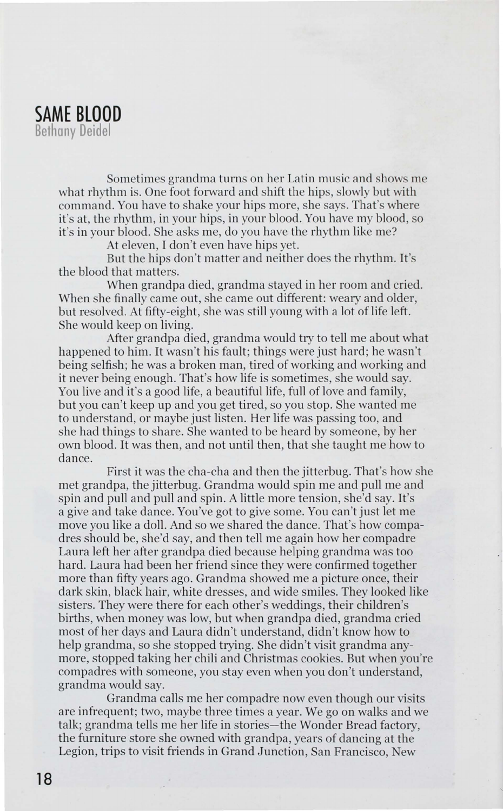

Sometimes grandma turns on her Latin music and shows me what rhythm is. One foot forward and shift the hips, slowly but with command. You have to shake your hips more, she says. That's where it's at, the rhythm, in your hips, in your blood. You have my blood, so it's in your blood. She asks me, do you have the rhythm like me?

At eleven, I don't even have hips yet.

But the hips don't matter and neither does the rhythm. It's the blood that matters.

When grandpa died, grandma stayed in her room and cried. When she finally came out, she came out different: weary and older, but resolved. At fifty-eight, she was still young with a lot of life left. She would keep on living.

After grandpa died, grandma would try to tell me about what happened to him. It wasn't his fault; things were just hard; he wasn't being selfish; he was a broken man, tired of working and working and it never being enough. That's how life is sometimes, she would say. You live and it's a good life, a beautiful life, full of love and family, but you can't keep up and you get tired, so you stop. She wanted me to understand, or maybe just listen. Her life was passing too, and she had things to share. She wanted to be heard by someone, by her own blood. It was then, and not until then, that she taught me how to dance.

First it was the cha-cha and then the jitterbug. That's how she met grandpa, the jitterbug. Grandma would spin me and pull me and spin and pull and pull and spin. A little more tension, she'd say. It's a give and take dance. You've got to give some. You can't just let me move you like a doll. And so we shared the dance. That's how compadres should be, she'd say, and then tell me again how her compadre Laura left her after grandpa died because helping grandma was too hard. Laura had been her friend since they were confirmed together more than fifty years ago. Grandma showed me a picture once, their dark skin, black hair, white dresses, and wide smiles. They looked like sisters. They were there for each other's weddings, their children's births, when money was low, but when grandpa died, grandma cried most of her days and Laura didn't understand, didn't know how to help grandma, so she stopped trying. She didn't visit grandma anymore, stopped taking her chili and Christmas cookies. But when you're compadres with someone, you stay even when you don't understand, grandma would say.

Grandma calls me her compadre now even though our visits are infrequent; two, maybe three times a year. We go on walks and we talk; grandma tells me her life in stories-the Wonder Bread factory, the furniture store she owned with grandpa, years of dancing at the Legion, trips to visit friends in Grand Junction, San Francisco, New